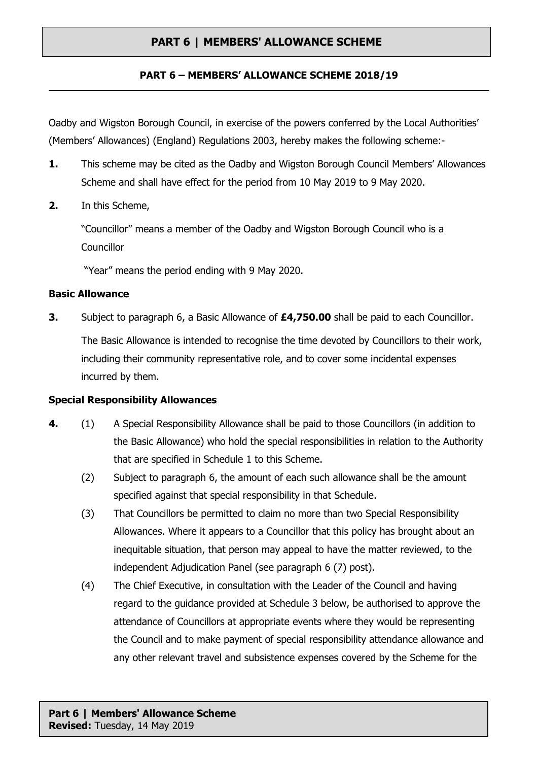## **PART 6 – MEMBERS' ALLOWANCE SCHEME 2018/19**

Oadby and Wigston Borough Council, in exercise of the powers conferred by the Local Authorities' (Members' Allowances) (England) Regulations 2003, hereby makes the following scheme:-

- **1.** This scheme may be cited as the Oadby and Wigston Borough Council Members' Allowances Scheme and shall have effect for the period from 10 May 2019 to 9 May 2020.
- **2.** In this Scheme,

"Councillor" means a member of the Oadby and Wigston Borough Council who is a **Councillor** 

"Year" means the period ending with 9 May 2020.

#### **Basic Allowance**

**3.** Subject to paragraph 6, a Basic Allowance of **£4,750.00** shall be paid to each Councillor. The Basic Allowance is intended to recognise the time devoted by Councillors to their work, including their community representative role, and to cover some incidental expenses incurred by them.

## **Special Responsibility Allowances**

- **4.** (1) A Special Responsibility Allowance shall be paid to those Councillors (in addition to the Basic Allowance) who hold the special responsibilities in relation to the Authority that are specified in Schedule 1 to this Scheme.
	- (2) Subject to paragraph 6, the amount of each such allowance shall be the amount specified against that special responsibility in that Schedule.
	- (3) That Councillors be permitted to claim no more than two Special Responsibility Allowances. Where it appears to a Councillor that this policy has brought about an inequitable situation, that person may appeal to have the matter reviewed, to the independent Adjudication Panel (see paragraph 6 (7) post).
	- (4) The Chief Executive, in consultation with the Leader of the Council and having regard to the guidance provided at Schedule 3 below, be authorised to approve the attendance of Councillors at appropriate events where they would be representing the Council and to make payment of special responsibility attendance allowance and any other relevant travel and subsistence expenses covered by the Scheme for the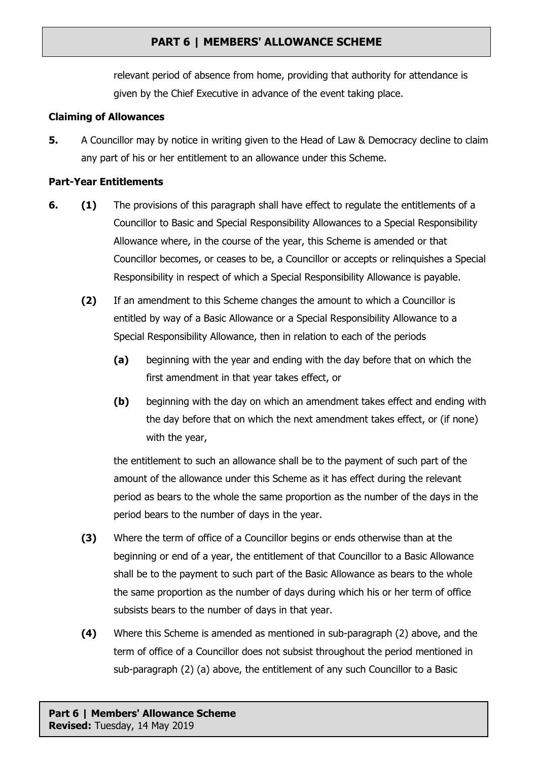relevant period of absence from home, providing that authority for attendance is given by the Chief Executive in advance of the event taking place.

#### **Claiming of Allowances**

**5.** A Councillor may by notice in writing given to the Head of Law & Democracy decline to claim any part of his or her entitlement to an allowance under this Scheme.

#### **Part-Year Entitlements**

- **6. (1)** The provisions of this paragraph shall have effect to regulate the entitlements of a Councillor to Basic and Special Responsibility Allowances to a Special Responsibility Allowance where, in the course of the year, this Scheme is amended or that Councillor becomes, or ceases to be, a Councillor or accepts or relinquishes a Special Responsibility in respect of which a Special Responsibility Allowance is payable.
	- **(2)** If an amendment to this Scheme changes the amount to which a Councillor is entitled by way of a Basic Allowance or a Special Responsibility Allowance to a Special Responsibility Allowance, then in relation to each of the periods
		- **(a)** beginning with the year and ending with the day before that on which the first amendment in that year takes effect, or
		- **(b)** beginning with the day on which an amendment takes effect and ending with the day before that on which the next amendment takes effect, or (if none) with the year,

the entitlement to such an allowance shall be to the payment of such part of the amount of the allowance under this Scheme as it has effect during the relevant period as bears to the whole the same proportion as the number of the days in the period bears to the number of days in the year.

- **(3)** Where the term of office of a Councillor begins or ends otherwise than at the beginning or end of a year, the entitlement of that Councillor to a Basic Allowance shall be to the payment to such part of the Basic Allowance as bears to the whole the same proportion as the number of days during which his or her term of office subsists bears to the number of days in that year.
- **(4)** Where this Scheme is amended as mentioned in sub-paragraph (2) above, and the term of office of a Councillor does not subsist throughout the period mentioned in sub-paragraph (2) (a) above, the entitlement of any such Councillor to a Basic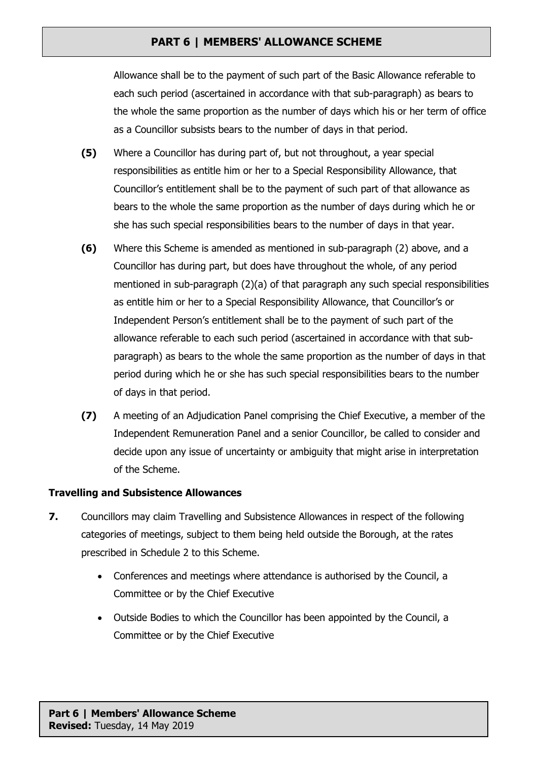Allowance shall be to the payment of such part of the Basic Allowance referable to each such period (ascertained in accordance with that sub-paragraph) as bears to the whole the same proportion as the number of days which his or her term of office as a Councillor subsists bears to the number of days in that period.

- **(5)** Where a Councillor has during part of, but not throughout, a year special responsibilities as entitle him or her to a Special Responsibility Allowance, that Councillor's entitlement shall be to the payment of such part of that allowance as bears to the whole the same proportion as the number of days during which he or she has such special responsibilities bears to the number of days in that year.
- **(6)** Where this Scheme is amended as mentioned in sub-paragraph (2) above, and a Councillor has during part, but does have throughout the whole, of any period mentioned in sub-paragraph  $(2)(a)$  of that paragraph any such special responsibilities as entitle him or her to a Special Responsibility Allowance, that Councillor's or Independent Person's entitlement shall be to the payment of such part of the allowance referable to each such period (ascertained in accordance with that subparagraph) as bears to the whole the same proportion as the number of days in that period during which he or she has such special responsibilities bears to the number of days in that period.
- **(7)** A meeting of an Adjudication Panel comprising the Chief Executive, a member of the Independent Remuneration Panel and a senior Councillor, be called to consider and decide upon any issue of uncertainty or ambiguity that might arise in interpretation of the Scheme.

## **Travelling and Subsistence Allowances**

- **7.** Councillors may claim Travelling and Subsistence Allowances in respect of the following categories of meetings, subject to them being held outside the Borough, at the rates prescribed in Schedule 2 to this Scheme.
	- Conferences and meetings where attendance is authorised by the Council, a Committee or by the Chief Executive
	- Outside Bodies to which the Councillor has been appointed by the Council, a Committee or by the Chief Executive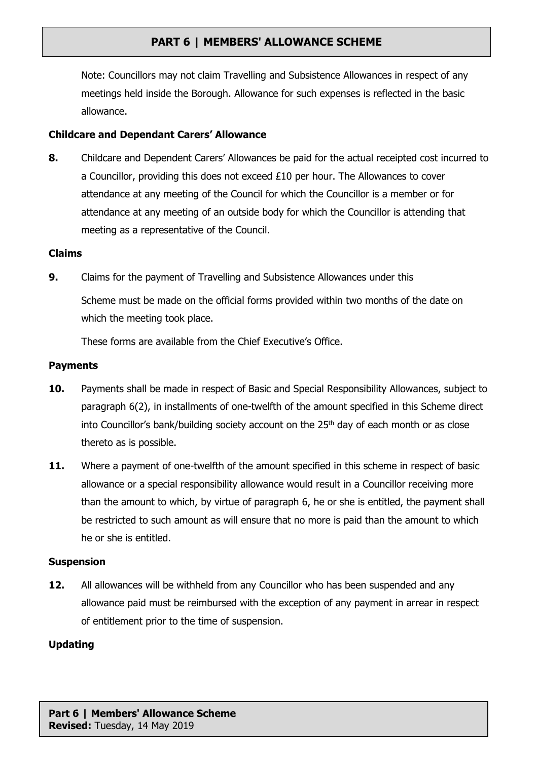Note: Councillors may not claim Travelling and Subsistence Allowances in respect of any meetings held inside the Borough. Allowance for such expenses is reflected in the basic allowance.

## **Childcare and Dependant Carers' Allowance**

**8.** Childcare and Dependent Carers' Allowances be paid for the actual receipted cost incurred to a Councillor, providing this does not exceed £10 per hour. The Allowances to cover attendance at any meeting of the Council for which the Councillor is a member or for attendance at any meeting of an outside body for which the Councillor is attending that meeting as a representative of the Council.

### **Claims**

**9.** Claims for the payment of Travelling and Subsistence Allowances under this Scheme must be made on the official forms provided within two months of the date on which the meeting took place.

These forms are available from the Chief Executive's Office.

#### **Payments**

- **10.** Payments shall be made in respect of Basic and Special Responsibility Allowances, subject to paragraph 6(2), in installments of one-twelfth of the amount specified in this Scheme direct into Councillor's bank/building society account on the 25<sup>th</sup> day of each month or as close thereto as is possible.
- 11. Where a payment of one-twelfth of the amount specified in this scheme in respect of basic allowance or a special responsibility allowance would result in a Councillor receiving more than the amount to which, by virtue of paragraph 6, he or she is entitled, the payment shall be restricted to such amount as will ensure that no more is paid than the amount to which he or she is entitled.

#### **Suspension**

**12.** All allowances will be withheld from any Councillor who has been suspended and any allowance paid must be reimbursed with the exception of any payment in arrear in respect of entitlement prior to the time of suspension.

#### **Updating**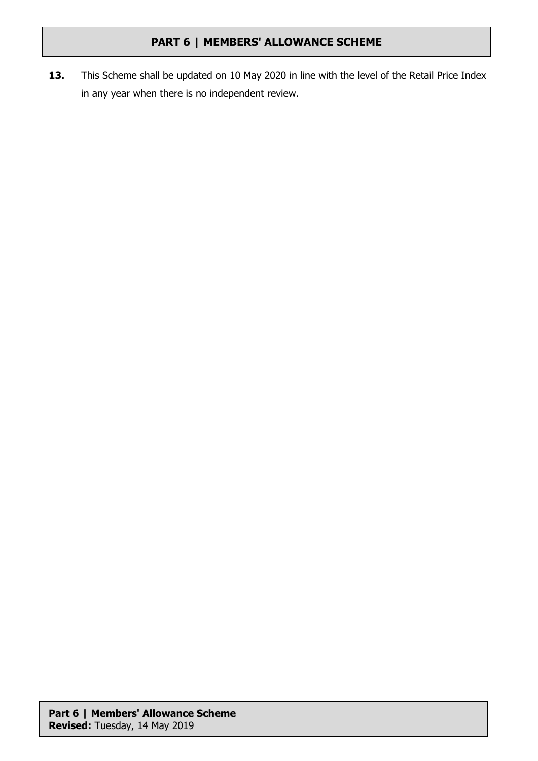**13.** This Scheme shall be updated on 10 May 2020 in line with the level of the Retail Price Index in any year when there is no independent review.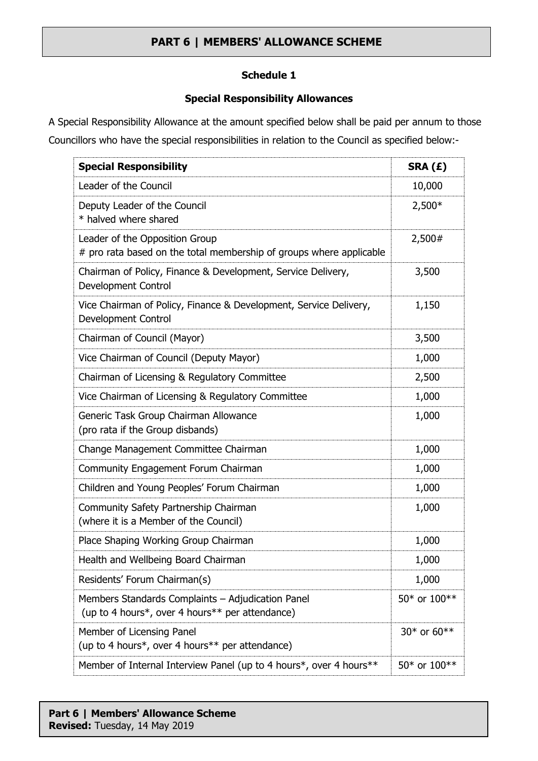## **Schedule 1**

## **Special Responsibility Allowances**

A Special Responsibility Allowance at the amount specified below shall be paid per annum to those Councillors who have the special responsibilities in relation to the Council as specified below:-

| <b>Special Responsibility</b>                                                                         | SRA (£)      |  |
|-------------------------------------------------------------------------------------------------------|--------------|--|
| Leader of the Council                                                                                 | 10,000       |  |
| Deputy Leader of the Council<br>* halved where shared                                                 | $2,500*$     |  |
| Leader of the Opposition Group<br># pro rata based on the total membership of groups where applicable | 2,500#       |  |
| Chairman of Policy, Finance & Development, Service Delivery,<br>Development Control                   | 3,500        |  |
| Vice Chairman of Policy, Finance & Development, Service Delivery,<br>Development Control              | 1,150        |  |
| Chairman of Council (Mayor)                                                                           | 3,500        |  |
| Vice Chairman of Council (Deputy Mayor)                                                               | 1,000        |  |
| Chairman of Licensing & Regulatory Committee                                                          | 2,500        |  |
| Vice Chairman of Licensing & Regulatory Committee                                                     | 1,000        |  |
| Generic Task Group Chairman Allowance<br>(pro rata if the Group disbands)                             | 1,000        |  |
| Change Management Committee Chairman                                                                  | 1,000        |  |
| Community Engagement Forum Chairman                                                                   | 1,000        |  |
| Children and Young Peoples' Forum Chairman                                                            | 1,000        |  |
| Community Safety Partnership Chairman<br>(where it is a Member of the Council)                        | 1,000        |  |
| Place Shaping Working Group Chairman                                                                  | 1,000        |  |
| Health and Wellbeing Board Chairman                                                                   | 1,000        |  |
| Residents' Forum Chairman(s)                                                                          | 1,000        |  |
| Members Standards Complaints - Adjudication Panel<br>(up to 4 hours*, over 4 hours** per attendance)  | 50* or 100** |  |
| Member of Licensing Panel<br>(up to 4 hours*, over 4 hours** per attendance)                          | 30* or 60**  |  |
| Member of Internal Interview Panel (up to 4 hours*, over 4 hours**                                    | 50* or 100** |  |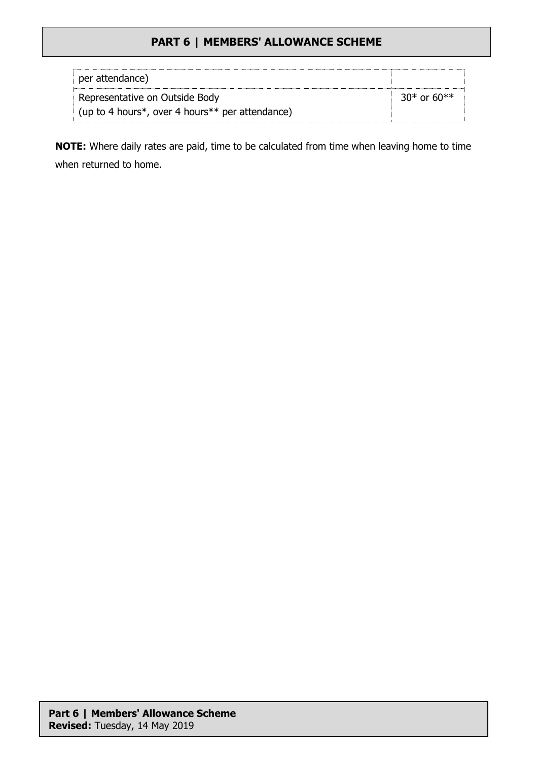| per attendance)                                         |                     |
|---------------------------------------------------------|---------------------|
| Representative on Outside Body                          | $30^*$ or $60^{**}$ |
| $\vert$ (up to 4 hours*, over 4 hours** per attendance) |                     |

**NOTE:** Where daily rates are paid, time to be calculated from time when leaving home to time when returned to home.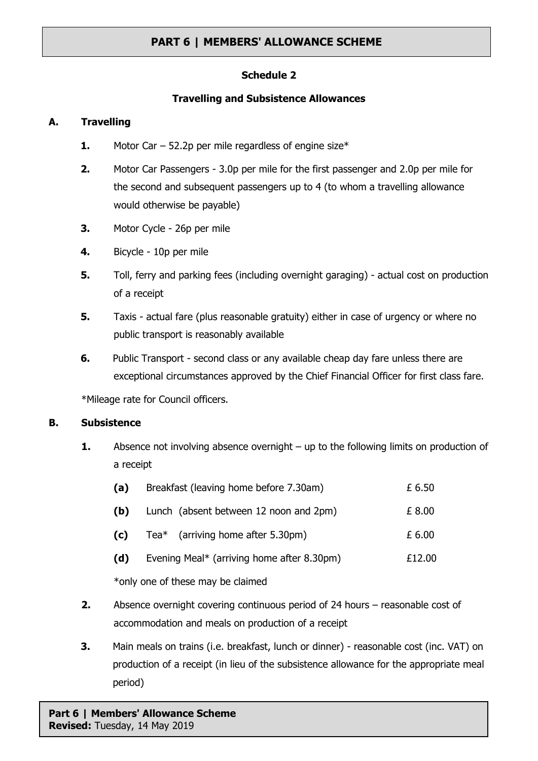## **Schedule 2**

### **Travelling and Subsistence Allowances**

### **A. Travelling**

- **1.** Motor Car 52.2p per mile regardless of engine size\*
- **2.** Motor Car Passengers 3.0p per mile for the first passenger and 2.0p per mile for the second and subsequent passengers up to 4 (to whom a travelling allowance would otherwise be payable)
- **3.** Motor Cycle 26p per mile
- **4.** Bicycle 10p per mile
- **5.** Toll, ferry and parking fees (including overnight garaging) actual cost on production of a receipt
- **5.** Taxis actual fare (plus reasonable gratuity) either in case of urgency or where no public transport is reasonably available
- **6.** Public Transport second class or any available cheap day fare unless there are exceptional circumstances approved by the Chief Financial Officer for first class fare.

\*Mileage rate for Council officers.

## **B. Subsistence**

**1.** Absence not involving absence overnight – up to the following limits on production of a receipt

| (a)                               | Breakfast (leaving home before 7.30am)     | £ 6.50 |  |  |
|-----------------------------------|--------------------------------------------|--------|--|--|
| (b)                               | Lunch (absent between 12 noon and 2pm)     | £ 8.00 |  |  |
| (c)                               | Tea $*$ (arriving home after 5.30pm)       | £ 6.00 |  |  |
| (d)                               | Evening Meal* (arriving home after 8.30pm) | £12.00 |  |  |
| *only one of these may be claimed |                                            |        |  |  |
|                                   |                                            |        |  |  |

- **2.** Absence overnight covering continuous period of 24 hours reasonable cost of accommodation and meals on production of a receipt
- **3.** Main meals on trains (i.e. breakfast, lunch or dinner) reasonable cost (inc. VAT) on production of a receipt (in lieu of the subsistence allowance for the appropriate meal period)